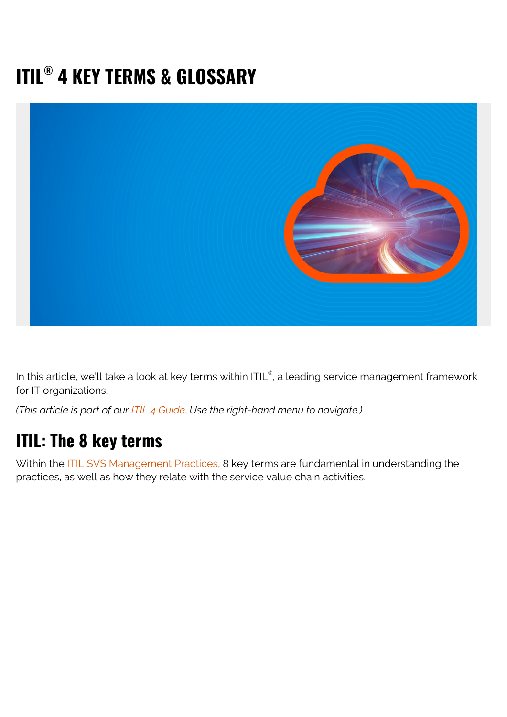# **ITIL® 4 KEY TERMS & GLOSSARY**



In this article, we'll take a look at key terms within ITIL®, a leading service management framework for IT organizations.

*(This article is part of our [ITIL 4 Guide](https://www.bmc.com/blogs/itil-4/). Use the right-hand menu to navigate.)*

## **ITIL: The 8 key terms**

Within the **ITIL SVS Management Practices**, 8 key terms are fundamental in understanding the practices, as well as how they relate with the service value chain activities.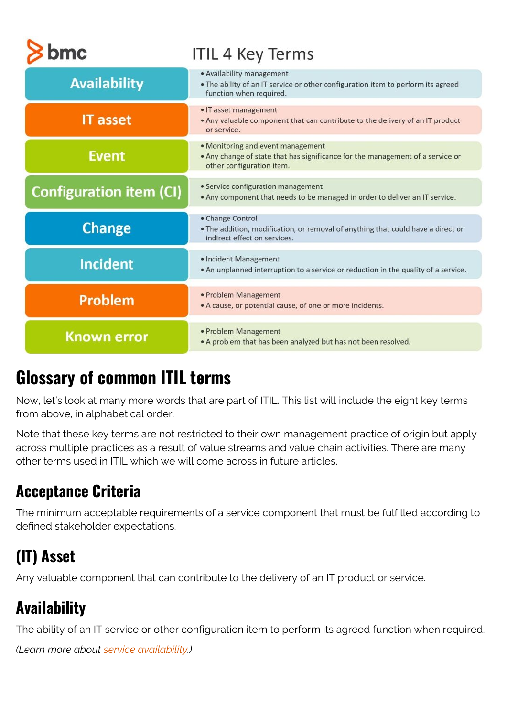| omc                            | <b>ITIL 4 Key Terms</b>                                                                                                                          |
|--------------------------------|--------------------------------------------------------------------------------------------------------------------------------------------------|
| <b>Availability</b>            | • Availability management<br>. The ability of an IT service or other configuration item to perform its agreed<br>function when required.         |
| <b>IT asset</b>                | • IT asset management<br>. Any valuable component that can contribute to the delivery of an IT product<br>or service.                            |
| <b>Event</b>                   | • Monitoring and event management<br>. Any change of state that has significance for the management of a service or<br>other configuration item. |
| <b>Configuration item (CI)</b> | • Service configuration management<br>. Any component that needs to be managed in order to deliver an IT service.                                |
| <b>Change</b>                  | • Change Control<br>. The addition, modification, or removal of anything that could have a direct or<br>indirect effect on services.             |
| <b>Incident</b>                | • Incident Management<br>• An unplanned interruption to a service or reduction in the quality of a service.                                      |
| Problem                        | • Problem Management<br>• A cause, or potential cause, of one or more incidents.                                                                 |
| <b>Known error</b>             | • Problem Management<br>. A problem that has been analyzed but has not been resolved.                                                            |

## **Glossary of common ITIL terms**

Now, let's look at many more words that are part of ITIL. This list will include the eight key terms from above, in alphabetical order.

Note that these key terms are not restricted to their own management practice of origin but apply across multiple practices as a result of value streams and value chain activities. There are many other terms used in ITIL which we will come across in future articles.

## **Acceptance Criteria**

The minimum acceptable requirements of a service component that must be fulfilled according to defined stakeholder expectations.

## **(IT) Asset**

Any valuable component that can contribute to the delivery of an IT product or service.

## **Availability**

The ability of an IT service or other configuration item to perform its agreed function when required.

*(Learn more about [service availability](https://www.bmc.com/blogs/service-availability-calculation-metrics/).)*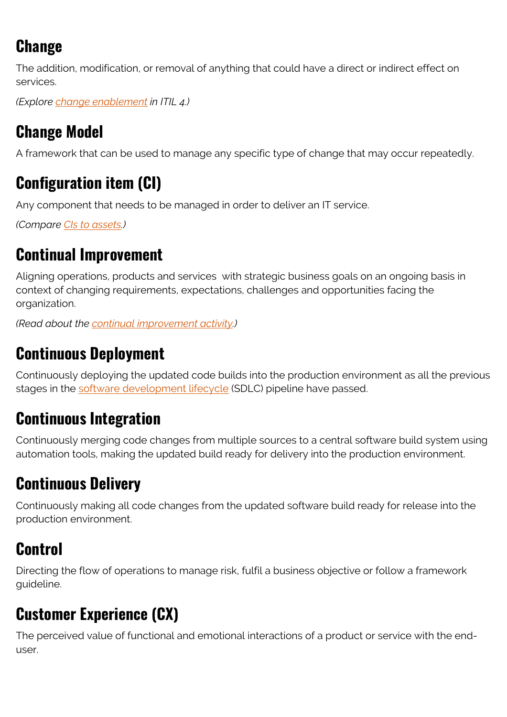## **Change**

The addition, modification, or removal of anything that could have a direct or indirect effect on services.

*(Explore [change enablement](https://www.bmc.com/blogs/itil-change-enablement/) in ITIL 4.)*

## **Change Model**

A framework that can be used to manage any specific type of change that may occur repeatedly.

## **Configuration item (CI)**

Any component that needs to be managed in order to deliver an IT service.

*(Compare [CIs to assets](https://www.bmc.com/blogs/asset-management-vs-configuration-management/).)*

#### **Continual Improvement**

Aligning operations, products and services with strategic business goals on an ongoing basis in context of changing requirements, expectations, challenges and opportunities facing the organization.

*(Read about the [continual improvement activity](https://www.bmc.com/blogs/itil-continual-improvement/).)*

#### **Continuous Deployment**

Continuously deploying the updated code builds into the production environment as all the previous stages in the [software development lifecycle](https://www.bmc.com/blogs/sdlc-software-development-lifecycle/) (SDLC) pipeline have passed.

## **Continuous Integration**

Continuously merging code changes from multiple sources to a central software build system using automation tools, making the updated build ready for delivery into the production environment.

## **Continuous Delivery**

Continuously making all code changes from the updated software build ready for release into the production environment.

## **Control**

Directing the flow of operations to manage risk, fulfil a business objective or follow a framework guideline.

## **Customer Experience (CX)**

The perceived value of functional and emotional interactions of a product or service with the enduser.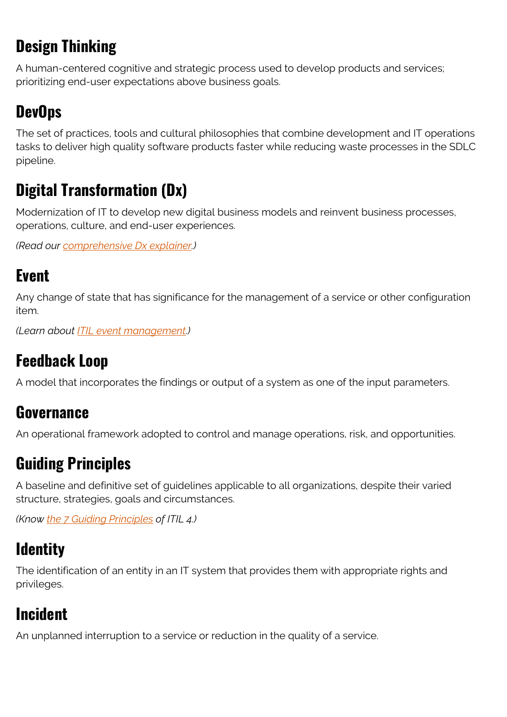## **Design Thinking**

A human-centered cognitive and strategic process used to develop products and services; prioritizing end-user expectations above business goals.

#### **DevOps**

The set of practices, tools and cultural philosophies that combine development and IT operations tasks to deliver high quality software products faster while reducing waste processes in the SDLC pipeline.

#### **Digital Transformation (Dx)**

Modernization of IT to develop new digital business models and reinvent business processes, operations, culture, and end-user experiences.

*(Read our [comprehensive Dx explainer](https://www.bmc.com/blogs/what-is-digital-transformation/).)*

#### **Event**

Any change of state that has significance for the management of a service or other configuration item.

*(Learn about [ITIL event management](https://blogs.bmc.com/itil-event-management/).)*

#### **Feedback Loop**

A model that incorporates the findings or output of a system as one of the input parameters.

#### **Governance**

An operational framework adopted to control and manage operations, risk, and opportunities.

#### **Guiding Principles**

A baseline and definitive set of guidelines applicable to all organizations, despite their varied structure, strategies, goals and circumstances.

*(Know [the 7 Guiding Principles](https://www.bmc.com/blogs/itil-guiding-principles/) of ITIL 4.)*

#### **Identity**

The identification of an entity in an IT system that provides them with appropriate rights and privileges.

## **Incident**

An unplanned interruption to a service or reduction in the quality of a service.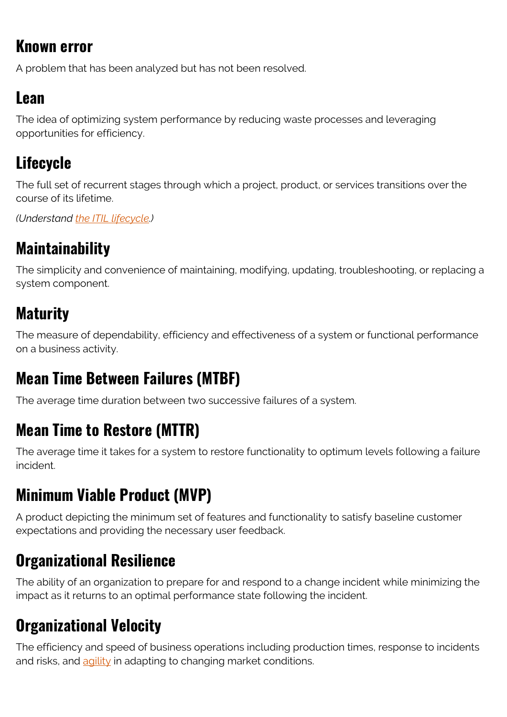#### **Known error**

A problem that has been analyzed but has not been resolved.

#### **Lean**

The idea of optimizing system performance by reducing waste processes and leveraging opportunities for efficiency.

## **Lifecycle**

The full set of recurrent stages through which a project, product, or services transitions over the course of its lifetime.

*(Understand [the ITIL lifecycle](https://blogs.bmc.com/itil-lifecycle/).)*

#### **Maintainability**

The simplicity and convenience of maintaining, modifying, updating, troubleshooting, or replacing a system component.

#### **Maturity**

The measure of dependability, efficiency and effectiveness of a system or functional performance on a business activity.

#### **Mean Time Between Failures (MTBF)**

The average time duration between two successive failures of a system.

#### **Mean Time to Restore (MTTR)**

The average time it takes for a system to restore functionality to optimum levels following a failure incident.

## **Minimum Viable Product (MVP)**

A product depicting the minimum set of features and functionality to satisfy baseline customer expectations and providing the necessary user feedback.

#### **Organizational Resilience**

The ability of an organization to prepare for and respond to a change incident while minimizing the impact as it returns to an optimal performance state following the incident.

#### **Organizational Velocity**

The efficiency and speed of business operations including production times, response to incidents and risks, and  $\frac{1}{\text{adj}\left(\frac{1}{\lambda}\right)}$  in adapting to changing market conditions.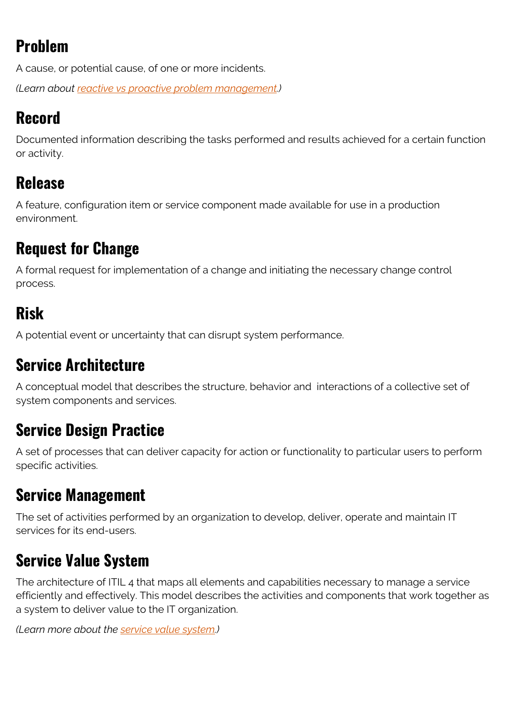## **Problem**

A cause, or potential cause, of one or more incidents.

*(Learn about [reactive vs proactive problem management](https://www.bmc.com/blogs/reactive-vs-proactive-problem-management/).)*

#### **Record**

Documented information describing the tasks performed and results achieved for a certain function or activity.

#### **Release**

A feature, configuration item or service component made available for use in a production environment.

#### **Request for Change**

A formal request for implementation of a change and initiating the necessary change control process.

#### **Risk**

A potential event or uncertainty that can disrupt system performance.

#### **Service Architecture**

A conceptual model that describes the structure, behavior and interactions of a collective set of system components and services.

#### **Service Design Practice**

A set of processes that can deliver capacity for action or functionality to particular users to perform specific activities.

#### **Service Management**

The set of activities performed by an organization to develop, deliver, operate and maintain IT services for its end-users.

#### **Service Value System**

The architecture of ITIL 4 that maps all elements and capabilities necessary to manage a service efficiently and effectively. This model describes the activities and components that work together as a system to deliver value to the IT organization.

*(Learn more about the [service value system](https://www.bmc.com/blogs/itil-service-value-system/).)*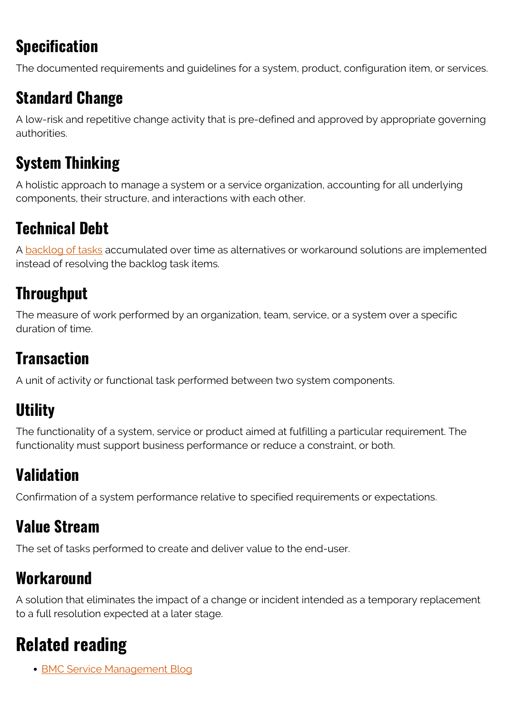## **Specification**

The documented requirements and guidelines for a system, product, configuration item, or services.

#### **Standard Change**

A low-risk and repetitive change activity that is pre-defined and approved by appropriate governing authorities.

#### **System Thinking**

A holistic approach to manage a system or a service organization, accounting for all underlying components, their structure, and interactions with each other.

## **Technical Debt**

A [backlog of tasks](https://www.bmc.com/blogs/technical-debt-explained-the-complete-guide-to-understanding-and-dealing-with-technical-debt/) accumulated over time as alternatives or workaround solutions are implemented instead of resolving the backlog task items.

#### **Throughput**

The measure of work performed by an organization, team, service, or a system over a specific duration of time.

## **Transaction**

A unit of activity or functional task performed between two system components.

## **Utility**

The functionality of a system, service or product aimed at fulfilling a particular requirement. The functionality must support business performance or reduce a constraint, or both.

#### **Validation**

Confirmation of a system performance relative to specified requirements or expectations.

#### **Value Stream**

The set of tasks performed to create and deliver value to the end-user.

#### **Workaround**

A solution that eliminates the impact of a change or incident intended as a temporary replacement to a full resolution expected at a later stage.

## **Related reading**

• [BMC Service Management Blog](https://www.bmc.com/blogs/categories/itsm/)